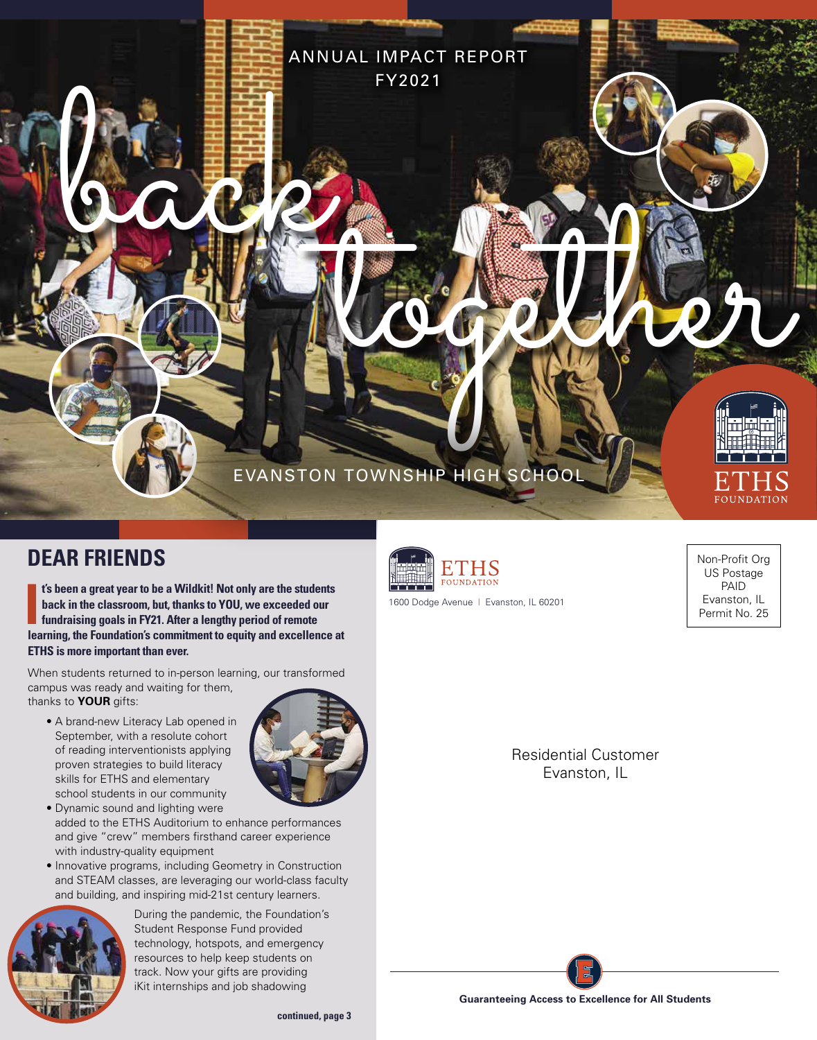

ANNUAL IMPACT REPORT

FY2021

## **DEAR FRIENDS**

**I t's been a great year to be a Wildkit! Not only are the students back in the classroom, but, thanks to YOU, we exceeded our fundraising goals in FY21. After a lengthy period of remote learning, the Foundation's commitment to equity and excellence at ETHS is more important than ever.**

When students returned to in-person learning, our transformed campus was ready and waiting for them, thanks to **YOUR** gifts:

• A brand-new Literacy Lab opened in September, with a resolute cohort of reading interventionists applying proven strategies to build literacy skills for ETHS and elementary school students in our community



- Dynamic sound and lighting were added to the ETHS Auditorium to enhance performances and give "crew" members firsthand career experience with industry-quality equipment
- Innovative programs, including Geometry in Construction and STEAM classes, are leveraging our world-class faculty and building, and inspiring mid-21st century learners.



During the pandemic, the Foundation's Student Response Fund provided technology, hotspots, and emergency resources to help keep students on track. Now your gifts are providing iKit internships and job shadowing



1600 Dodge Avenue | Evanston, IL 60201

Non-Profit Org US Postage PAID Evanston, IL Permit No. 25

Residential Customer Evanston, IL



**Guaranteeing Access to Excellence for All Students**

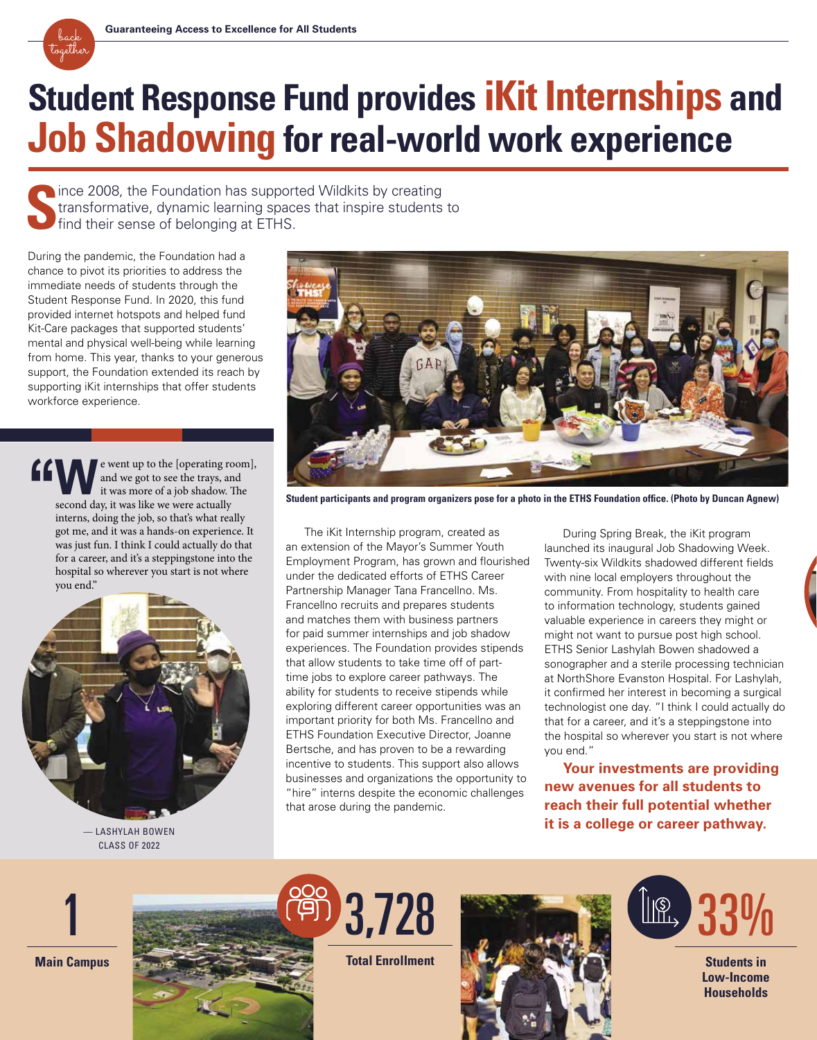

# **Student Response Fund provides iKit Internships and Job Shadowing for real-world work experience**

**S** nince 2008, the Foundation has supported Wildkits by creating transformative, dynamic learning spaces that inspire students to find their sense of belonging at ETHS.

During the pandemic, the Foundation had a chance to pivot its priorities to address the immediate needs of students through the Student Response Fund. In 2020, this fund provided internet hotspots and helped fund Kit-Care packages that supported students' mental and physical well-being while learning from home. This year, thanks to your generous support, the Foundation extended its reach by supporting iKit internships that offer students workforce experience.

e went up to the [operating room], and we got to see the trays, and it was more of a job shadow. The second day, it was like we were actually interns, doing the job, so that's what really got me, and it was a hands-on experience. It was just fun. I think I could actually do that for a career, and it's a steppingstone into the hospital so wherever you start is not where you end." **''**



CLASS OF 2022



**Student participants and program organizers pose for a photo in the ETHS Foundation office. (Photo by Duncan Agnew)** 

The iKit Internship program, created as an extension of the Mayor's Summer Youth Employment Program, has grown and flourished under the dedicated efforts of ETHS Career Partnership Manager Tana Francellno. Ms. Francellno recruits and prepares students and matches them with business partners for paid summer internships and job shadow experiences. The Foundation provides stipends that allow students to take time off of parttime jobs to explore career pathways. The ability for students to receive stipends while exploring different career opportunities was an important priority for both Ms. Francellno and ETHS Foundation Executive Director, Joanne Bertsche, and has proven to be a rewarding incentive to students. This support also allows businesses and organizations the opportunity to "hire" interns despite the economic challenges that arose during the pandemic.

During Spring Break, the iKit program launched its inaugural Job Shadowing Week. Twenty-six Wildkits shadowed different fields with nine local employers throughout the community. From hospitality to health care to information technology, students gained valuable experience in careers they might or might not want to pursue post high school. ETHS Senior Lashylah Bowen shadowed a sonographer and a sterile processing technician at NorthShore Evanston Hospital. For Lashylah, it confirmed her interest in becoming a surgical technologist one day. "I think I could actually do that for a career, and it's a steppingstone into the hospital so wherever you start is not where you end."

**Your investments are providing new avenues for all students to reach their full potential whether it is a college or career pathway.**







**Total Enrollment**





**Students in Low-Income Households**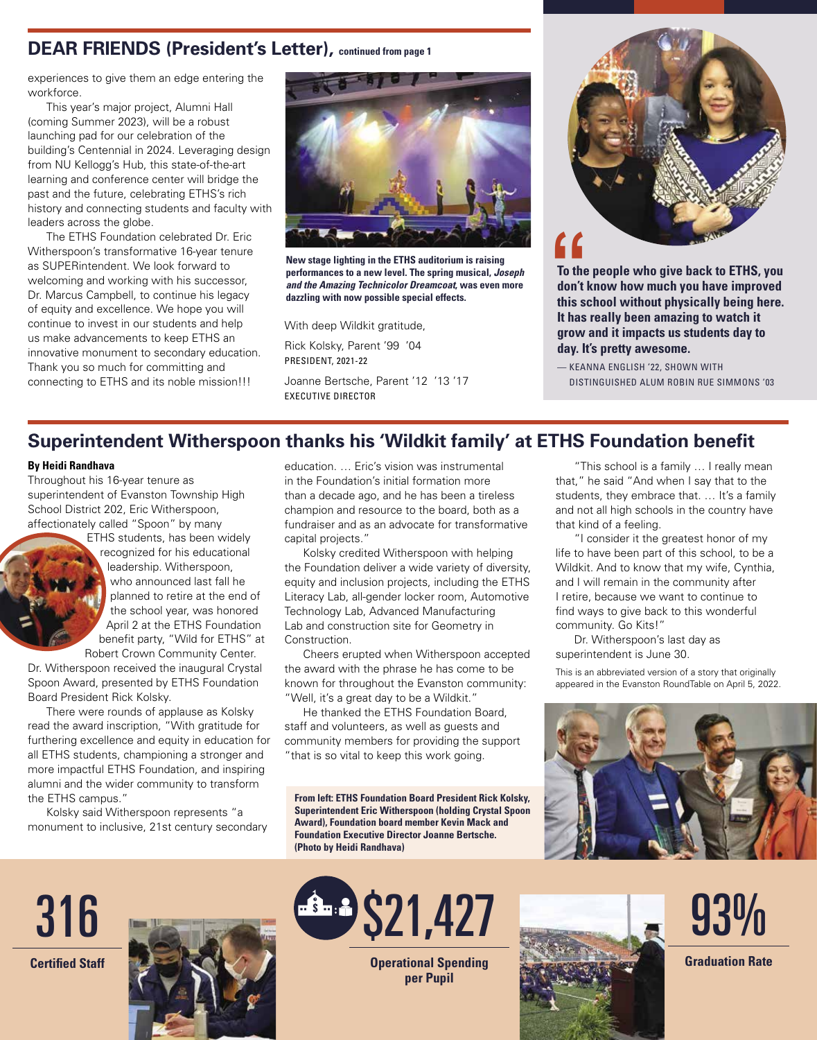## **DEAR FRIENDS (President's Letter), continued from page 1**

experiences to give them an edge entering the workforce.

This year's major project, Alumni Hall (coming Summer 2023), will be a robust launching pad for our celebration of the building's Centennial in 2024. Leveraging design from NU Kellogg's Hub, this state-of-the-art learning and conference center will bridge the past and the future, celebrating ETHS's rich history and connecting students and faculty with leaders across the globe.

The ETHS Foundation celebrated Dr. Eric Witherspoon's transformative 16-year tenure as SUPERintendent. We look forward to welcoming and working with his successor, Dr. Marcus Campbell, to continue his legacy of equity and excellence. We hope you will continue to invest in our students and help us make advancements to keep ETHS an innovative monument to secondary education. Thank you so much for committing and connecting to ETHS and its noble mission!!!



**New stage lighting in the ETHS auditorium is raising performances to a new level. The spring musical,** *Joseph and the Amazing Technicolor Dreamcoat***, was even more dazzling with now possible special effects.** 

With deep Wildkit gratitude,

Rick Kolsky, Parent '99 '04 PRESIDENT, 2021-22

Joanne Bertsche, Parent '12 '13 '17 EXECUTIVE DIRECTOR



**f f**<br>To the<br>don't<br>this so **To the people who give back to ETHS, you don't know how much you have improved this school without physically being here. It has really been amazing to watch it grow and it impacts us students day to day. It's pretty awesome.**

— KEANNA ENGLISH '22, SHOWN WITH DISTINGUISHED ALUM ROBIN RUE SIMMONS '03

## **Superintendent Witherspoon thanks his 'Wildkit family' at ETHS Foundation benefit**

### **By Heidi Randhava**

Throughout his 16-year tenure as superintendent of Evanston Township High School District 202, Eric Witherspoon, affectionately called "Spoon" by many



ETHS students, has been widely recognized for his educational leadership. Witherspoon, who announced last fall he planned to retire at the end of the school year, was honored April 2 at the ETHS Foundation benefit party, "Wild for ETHS" at

Robert Crown Community Center. Dr. Witherspoon received the inaugural Crystal Spoon Award, presented by ETHS Foundation Board President Rick Kolsky.

There were rounds of applause as Kolsky read the award inscription, "With gratitude for furthering excellence and equity in education for all ETHS students, championing a stronger and more impactful ETHS Foundation, and inspiring alumni and the wider community to transform the ETHS campus."

Kolsky said Witherspoon represents "a monument to inclusive, 21st century secondary

education. … Eric's vision was instrumental in the Foundation's initial formation more than a decade ago, and he has been a tireless champion and resource to the board, both as a fundraiser and as an advocate for transformative capital projects."

Kolsky credited Witherspoon with helping the Foundation deliver a wide variety of diversity, equity and inclusion projects, including the ETHS Literacy Lab, all-gender locker room, Automotive Technology Lab, Advanced Manufacturing Lab and construction site for Geometry in Construction.

Cheers erupted when Witherspoon accepted the award with the phrase he has come to be known for throughout the Evanston community: "Well, it's a great day to be a Wildkit."

He thanked the ETHS Foundation Board, staff and volunteers, as well as guests and community members for providing the support "that is so vital to keep this work going.

**From left: ETHS Foundation Board President Rick Kolsky, Superintendent Eric Witherspoon (holding Crystal Spoon Award), Foundation board member Kevin Mack and Foundation Executive Director Joanne Bertsche. (Photo by Heidi Randhava)**

"This school is a family … I really mean that," he said "And when I say that to the students, they embrace that. ... It's a family and not all high schools in the country have that kind of a feeling.

"I consider it the greatest honor of my life to have been part of this school, to be a Wildkit. And to know that my wife, Cynthia, and I will remain in the community after I retire, because we want to continue to find ways to give back to this wonderful community. Go Kits!"

Dr. Witherspoon's last day as superintendent is June 30.

This is an abbreviated version of a story that originally appeared in the Evanston RoundTable on April 5, 2022.



316 **Certified Staff**





**Operational Spending per Pupil**



93%

**Graduation Rate**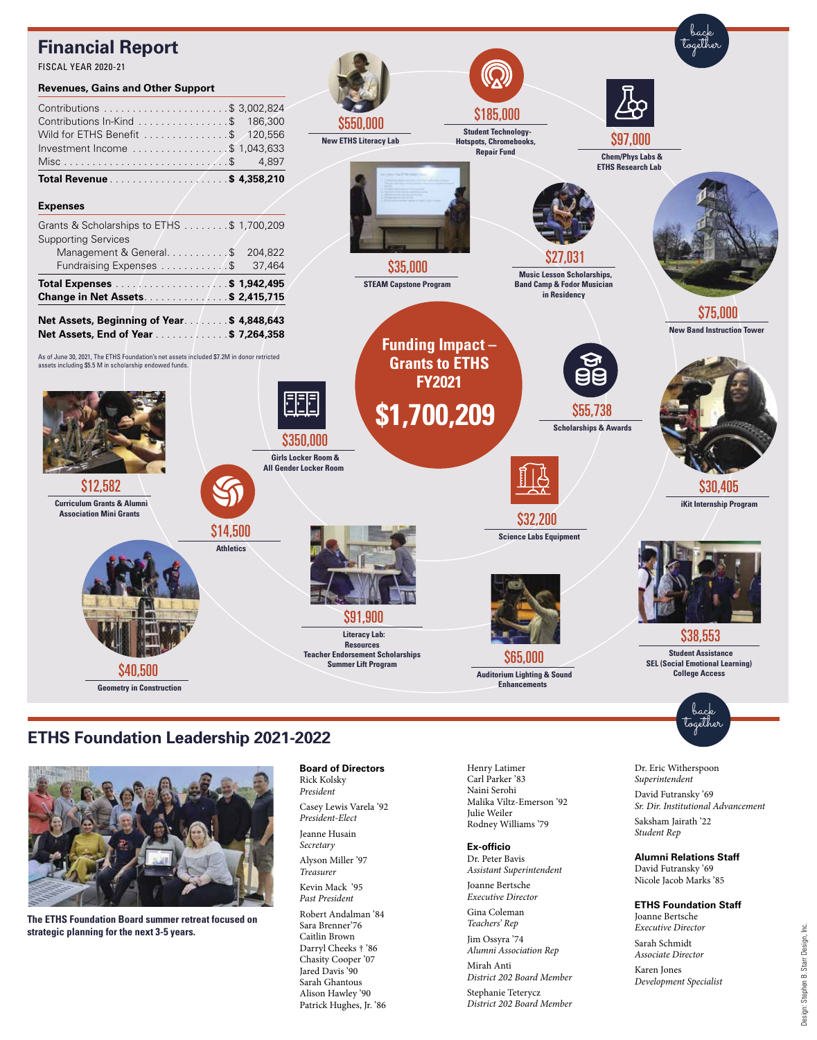## **Financial Report**



### **ETHS Foundation Leadership 2021-2022**



**The ETHS Foundation Board summer retreat focused on strategic planning for the next 3-5 years.** 

**Board of Directors** Rick Kolsky *President* Casey Lewis Varela '92 *President-Elect* Jeanne Husain *Secretary* Alyson Miller '97 *Treasurer* Kevin Mack '95 *Past President* Robert Andalman '84 Sara Brenner'76 Caitlin Brown Darryl Cheeks † '86 Chasity Cooper '07 Jared Davis '90 Sarah Ghantous Alison Hawley '90 Patrick Hughes, Jr. '86

Henry Latimer Carl Parker '83 Naini Serohi Malika Viltz-Emerson '92 Julie Weiler Rodney Williams '79

**Ex-officio** Dr. Peter Bavis *Assistant Superintendent* Joanne Bertsche *Executive Director* Gina Coleman *Teachers' Rep* Jim Ossyra '74 *Alumni Association Rep* Mirah Anti *District 202 Board Member* Stephanie Teterycz *District 202 Board Member*

Design: Stephen B. Starr Design, Inc.

Design: Stephen B. Starr Design, Inc.

Dr. Eric Witherspoon *Superintendent* David Futransky '69

Saksham Jairath '22 *Student Rep*

**Alumni Relations Staff** David Futransky '69 Nicole Jacob Marks '85

**ETHS Foundation Staff**

Joanne Bertsche *Executive Director* Sarah Schmidt *Associate Director* Karen Jones

*Development Specialist*

*Sr. Dir. Institutional Advancement*

together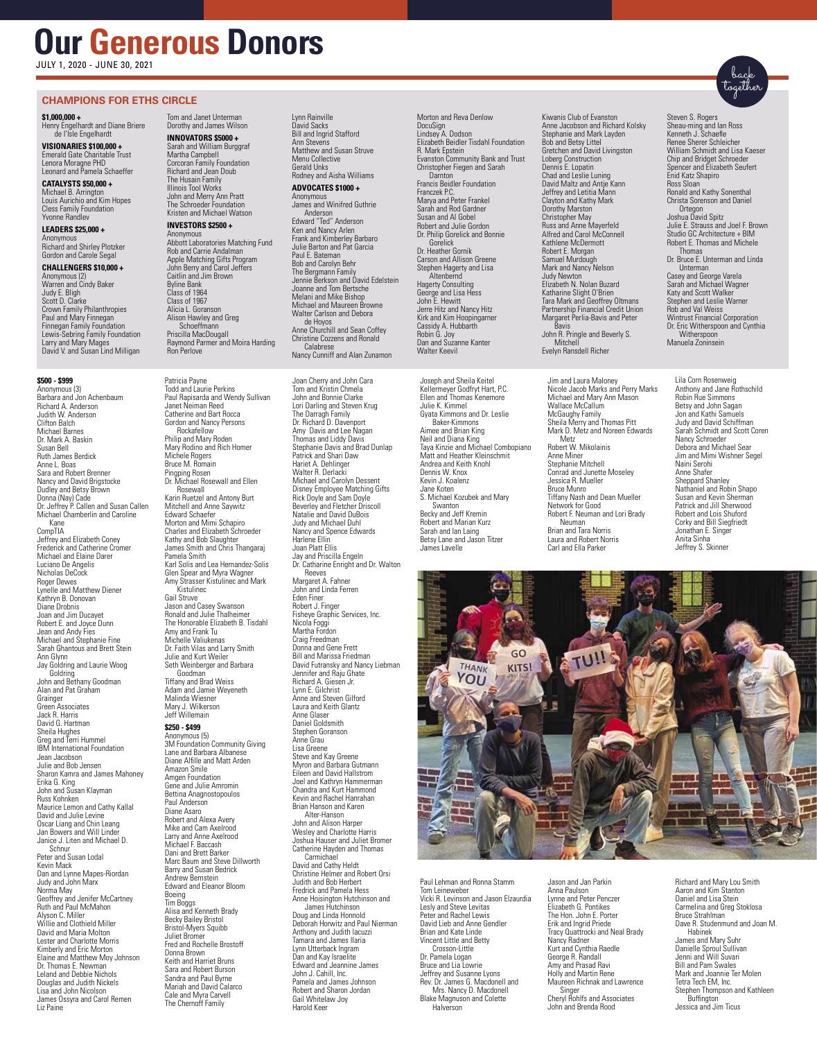## **Our Generous Donors**

JULY 1, 2020 - JUNE 30, 2021

#### **CHAMPIONS FOR ETHS CIRCLE**

#### **\$1,000,000 +**

Henry Engelhardt and Diane Briere de I'Isle Engelhardt **VISIONARIES \$100,000 +**

Emerald Gate Charitable Trust Lenora Moragne PHD Leonard and Pamela Schaeffer

#### **CATALYSTS \$50,000 +**

Michael B. Arrington Louis Aurichio and Kim Hopes Cless Family Foundation Yvonne Randlev

#### **LEADERS \$25,000 +** Anonymous

Richard and Shirley Plotzker Gordon and Carole Segal

#### **CHALLENGERS \$10,000 +**

Anonymous (2) Warren and Cindy Baker Judy E. Bligh Scott D. Clarke Crown Family Philanthropies Paul and Mary Finnegan Finnegan Family Foundation Lewis-Sebring Family Foundation Larry and Mary Mages David V. and Susan Lind Milligan

#### **\$500 - \$999** Anonymous (3)

Barbara and Jon Achenbaum Richard A. Anderson Judith W. Anderson Clifton Balch Michael Barnes Dr. Mark A. Baskin Susan Bell Ruth James Berdick Anne L. Boas Sara and Robert Brenner Nancy and David Brigstocke Dudley and Betsy Brown Donna (Nay) Cade Dr. Jeffrey P. Callen and Susan Callen Michael Chamberlin and Caroline Kane CompTIA Jeffrey and Elizabeth Coney Frederick and Catherine Cromer Michael and Elaine Darer Luciano De Angelis Nicholas DeCock Roger Dewes Lynelle and Matthew Diener Kathryn B. Donovan Diane Drobnis Joan and Jim Ducayet Robert E. and Joyce Dunn Jean and Andy Fies Michael and Stephanie Fine Sarah Ghantous and Brett Stein Ann Glynn Jay Goldring and Laurie Woog Goldring John and Bethany Goodman Alan and Pat Graham **Grainger** Green Associates Jack R. Harris David G. Hartman Sheila Hughes Greg and Terri Hummel IBM International Foundation Jean Jacobson Julie and Bob Jensen Sharon Kamra and James Mahoney Erika G. King John and Susan Klayman Russ Kohnken Maurice Lemon and Cathy Kallal David and Julie Levine Oscar Liang and Chin Leang Jan Bowers and Will Linder Janice J. Liten and Michael D. Schnur Peter and Susan Lodal Kevin Mack Dan and Lynne Mapes-Riordan Judy and John Marx Norma May Geoffrey and Jenifer McCartney Ruth and Paul McMahon Alyson C. Miller Willie and Clothield Miller David and Maria Molton Lester and Charlotte Morris Kimberly and Eric Morton Elaine and Matthew Moy Johnson Dr. Thomas E. Newman Leland and Debbie Nichols Douglas and Judith Nickels Lisa and John Nicolson James Ossyra and Carol Remen Liz Paine

**INNOVATORS \$5000 +** Sarah and William Burggraf Martha Campbell Corcoran Family Foundation Richard and Jean Doub

Tom and Janet Unterman Dorothy and James Wilson

The Husain Family Illinois Tool Works John and Merry Ann Pratt The Schroeder Foundation Kristen and Michael Watson

#### **INVESTORS \$2500 +**

Anonymous Abbott Laboratories Matching Fund Rob and Carrie Andalman Apple Matching Gifts Program John Berry and Carol Jeffers Caitlin and Jim Brown Byline Bank Class of 1964 Class of 1967 Alicia L. Goranson Alison Hawley and Greg Schoeffmann Priscilla MacDougall Raymond Parmer and Moira Harding Ron Perlove

Patricia Payne Todd and Laurie Perkins Paul Rapisarda and Wendy Sullivan Janet Neiman Reed Catherine and Bart Rocca Gordon and Nancy Persons Rockafellow Philip and Mary Roden Mary Rodino and Rich Homer Michele Rogers Bruce M. Romain Pingping Rosen Dr. Michael Rosewall and Ellen Rosewall Karin Ruetzel and Antony Burt Mitchell and Anne Saywitz Edward Schaefer Morton and Mimi Schapiro Charles and Elizabeth Schroeder Kathy and Bob Slaughter James Smith and Chris Thangaraj Pamela Smith Karl Solis and Lea Hernandez-Solis Glen Spear and Myra Wagner Amy Strasser Kistulinec and Mark Kistulinec Gail Struve Jason and Casey Swanson Ronald and Julie Thalheimer The Honorable Elizabeth B. Tisdahl Amy and Frank Tu Michelle Valiukenas Dr. Faith Vilas and Larry Smith Julie and Kurt Weiler Seth Weinberger and Barbara Goodman Tiffany and Brad Weiss Adam and Jamie Weyeneth Malinda Wiesner Mary J. Wilkerson Jeff Willemain **\$250 - \$499**

Anonymous (5) 3M Foundation Community Giving Lane and Barbara Albanese Diane Alfille and Matt Arden Amazon Smile Amgen Foundation Gene and Julie Amromin Bettina Anagnostopoulos Paul Anderson Diane Asaro Robert and Alexa Avery Mike and Cam Axelrood Larry and Anne Axelrood Michael F. Baccash Dani and Brett Barker Marc Baum and Steve Dillworth Barry and Susan Bedrick Andrew Bernstein Edward and Eleanor Bloom Boeing Tim Boggs Alisa and Kenneth Brady Becky Bailey Bristol Bristol-Myers Squibb Juliet Bromer Fred and Rochelle Brostoff Donna Brown Keith and Harriet Bruns Sara and Robert Burson Sandra and Paul Byrne Mariah and David Calarco Cale and Myra Carvell The Chernoff Family

Lynn Rainville David Sacks Bill and Ingrid Stafford **Ann Stevens** Matthew and Susan Struve Menu Collective Gerald Unks Rodney and Aisha Williams **ADVOCATES \$1000 +** Anonymous James and Winifred Guthrie Anderson

Edward "Ted" Anderson Ken and Nancy Arlen Frank and Kimberley Barbaro Julie Barton and Pat Garcia Paul E. Bateman Bob and Carolyn Behr The Bergmann Family Jennie Berkson and David Edelstein Joanne and Tom Bertsche Melani and Mike Bishop Michael and Maureen Browne Walter Carlson and Debora de Hoyos Anne Churchill and Sean Coffey

Christine Cozzens and Ronald Calabrese Nancy Cunniff and Alan Zunamon

Joan Cherry and John Cara Tom and Kristin Chmela John and Bonnie Clarke Lori Darling and Steven Krug The Darragh Family Dr. Richard D. Davenport Amy Davis and Lee Nagan Thomas and Liddy Davis Stephanie Davis and Brad Dunlap Patrick and Shari Daw Hariet A. Dehlinger Walter R. Derlacki Michael and Carolyn Dessent Disney Employee Matching Gifts Rick Doyle and Sam Doyle Beverley and Fletcher Driscoll Natalie and David DuBois Judy and Michael Duhl **Nancy and Whenacr Bunner**<br>Nancy and Spence Edwards Harlene Ellin Joan Platt Ellis Jay and Priscilla Engeln Dr. Catharine Enright and Dr. Walton Reeves Margaret A. Fahner John and Linda Ferren Eden Finer Robert J. Finger Fisheye Graphic Services, Inc. Nicola Foggi Martha Fordon Craig Freedman Donna and Gene Frett Bill and Marissa Friedman David Futransky and Nancy Liebman Jennifer and Raju Ghate Richard A. Giesen Jr. Lynn E. Gilchrist Anne and Steven Gilford Laura and Keith Glantz Anne Glaser Daniel Goldsmith Stephen Goranson Anne Grau Lisa Greene Steve and Kay Greene Myron and Barbara Gutmann Eileen and David Hallstrom Joel and Kathryn Hammerman Chandra and Kurt Hammond Kevin and Rachel Hanrahan Brian Hanson and Karen Alter-Hanson John and Alison Harper **Wesley and Charlotte Harris** Joshua Hauser and Juliet Bromer Catherine Hayden and Thomas Carmichael David and Cathy Heldt Christine Helmer and Robert Orsi Judith and Bob Herbert Fredrick and Pamela Hess Anne Hoisington Hutchinson and James Hutchinson Doug and Linda Honnold Deborah Horwitz and Paul Nierman Anthony and Judith Iacuzzi Tamara and James Ilaria Lynn Utterback Ingram Dan and Kay Israelite Edward and Jeannine James John J. Cahill, Inc. Pamela and James Johnson

Robert and Sharon Jordan Gail Whitelaw Joy Harold Keer

Morton and Reva Denlow DocuSign Lindsey A. Dodson Elizabeth Beidler Tisdahl Foundation R. Mark Epstein Evanston Community Bank and Trust Christopher Fiegen and Sarah Darnton Francis Beidler Foundation Franczek P.C. Marya and Peter Frankel Sarah and Rod Gardner Susan and Al Gobel Robert and Julie Gordon Dr. Philip Gorelick and Bonnie Gorelick Dr. Heather Gornik Carson and Allison Greene Stephen Hagerty and Lisa Altenbernd Hagerty Consulting George and Lisa Hess John E. Hewitt Jerre Hitz and Nancy Hitz Kirk and Kim Hoopingarner Cassidy A. Hubbarth Robin G. Joy Dan and Suzanne Kanter Walter Keevil

Joseph and Sheila Keitel Kellermeyer Godfryt Hart, P.C. Ellen and Thomas Kenemore Julie K. Kimmel Gyata Kimmons and Dr. Leslie Baker-Kimmons Aimee and Brian King Neil and Diana King Taya Kinzie and Michael Combopiano Matt and Heather Kleinschmit Andrea and Keith Knohl Dennis W. Knox Kevin J. Koalenz Jane Koten S. Michael Kozubek and Mary Swanton Becky and Jeff Kremin Robert and Marian Kurz Sarah and Ian Laing Betsy Lane and Jason Titzer James Lavelle

Kiwanis Club of Evanston Anne Jacobson and Richard Kolsky Stephanie and Mark Layden Bob and Betsy Littel Gretchen and David Livingston Loberg Construction Dennis E. Lopatin Chad and Leslie Luning David Maltz and Antje Kann Jeffrey and Letitia Mann Clayton and Kathy Mark Dorothy Marston Christopher May Russ and Anne Mayerfeld Alfred and Carol McConnell Kathlene McDermott Robert E. Morgan Samuel Murdough Mark and Nancy Nelson Judy Newton Elizabeth N. Nolan Buzard Katharine Slight O'Brien Tara Mark and Geoffrey Oltmans Partnership Financial Credit Union Margaret Perlia-Bavis and Peter Bavis John R. Pringle and Beverly S. Mitchell Evelyn Ransdell Richer

Jim and Laura Maloney Nicole Jacob Marks and Perry Marks Michael and Mary Ann Mason Wallace McCallum McGaughy Family Sheila Merry and Thomas Pitt Mark D. Metz and Noreen Edwards Metz Robert W. Mikolainis Anne Miner Stephanie Mitchell Conrad and Junette Moseley Jessica R. Mueller Bruce Munro Tiffany Nash and Dean Mueller Network for Good Robert F. Neuman and Lori Brady Neuman Brian and Tara Norris Laura and Robert Norris Carl and Ella Parker

Steven S. Rogers Sheau-ming and Ian Ross Kenneth J. Schaefle Renee Sherer Schleicher William Schmidt and Lisa Kaeser Chip and Bridget Schroeder Spencer and Elizabeth Seufert Enid Katz Shapiro Ross Sloan Ronald and Kathy Sonenthal Christa Sorenson and Daniel **Ortegon** Joshua David Spitz Julie E. Strauss and Joel F. Brown Studio GC Architecture + BIM Robert E. Thomas and Michele Thomas Dr. Bruce E. Unterman and Linda Unterman Casey and George Varela Sarah and Michael Wagner Katy and Scott Walker Stephen and Leslie Warner

Rob and Val Weiss Wintrust Financial Corporation Dr. Eric Witherspoon and Cynthia Witherspoon Manuela Zoninsein

Lila Corn Rosenweig Anthony and Jane Rothschild Robin Rue Simmons Betsy and John Sagan Jon and Kathi Samuels Judy and David Schiffman Sarah Schmidt and Scott Coren Nancy Schroeder Debora and Michael Sear Jim and Mimi Wishner Segel Naini Serohi Anne Shafer Sheppard Shanley Nathaniel and Robin Shapo Susan and Kevin Sherman Patrick and Jill Sherwood Robert and Lois Shuford Corky and Bill Siegfriedt Jonathan E. Singer Anita Sinha Jeffrey S. Skinner



Paul Lehman and Ronna Stamm Tom Leineweber Vicki R. Levinson and Jason Elzaurdia Lesly and Steve Levitas Peter and Rachel Lewis David Lieb and Anne Gendler Brian and Kate Linde Vincent Little and Betty Crosson-Little Dr. Pamela Logan Bruce and Lia Lowrie Jeffrey and Susanne Lyons Rev. Dr. James G. Macdonell and Mrs. Nancy D. Macdonell Blake Magnuson and Colette **Halverson** 

Jason and Jan Parkin Anna Paulson Lynne and Peter Penczer Elizabeth G. Pontikes The Hon. John E. Porter Erik and Ingrid Priede Tracy Quattrocki and Neal Brady Nancy Radner Kurt and Cynthia Raedle George R. Randall Amy and Prasad Ravi Holly and Martin Rene Maureen Richnak and Lawrence Singer Cheryl Rohlfs and Associates John and Brenda Rood

Richard and Mary Lou Smith Aaron and Kim Stanton Daniel and Lisa Stein Carmelina and Greg Stoklosa Bruce Strahlman Dave R. Studenmund and Joan M.

Habinek James and Mary Suhr Danielle Sproul Sullivan Jenni and Will Suvari Bill and Pam Swales Mark and Joannie Ter Molen Tetra Tech EM, Inc. Stephen Thompson and Kathleen Buffington Jessica and Jim Ticus